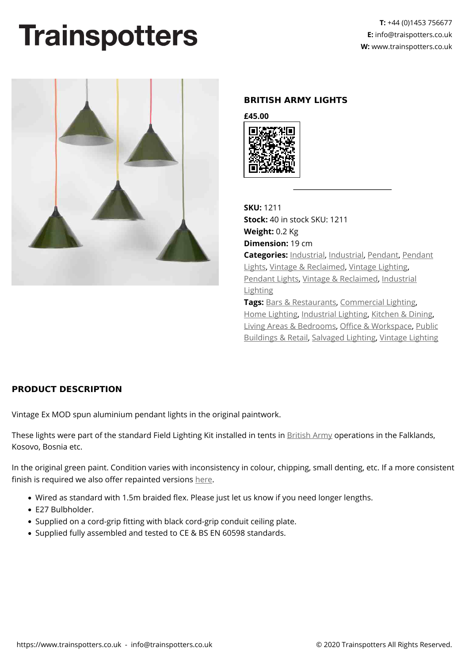## **Trainspotters**



## **BRITISH ARMY LIGHTS**

**£45.00**



**SKU:** 1211 **Stock:** 40 in stock SKU: 1211 **Weight:** 0.2 Kg **Dimension:** 19 cm **Categories:** [Industrial](https://www.trainspotters.co.uk/industrial/), [Industrial,](https://www.trainspotters.co.uk/industrial/) [Pendant,](https://www.trainspotters.co.uk/pendant-lights/) [Pendant](https://www.trainspotters.co.uk/pendant-lights/) [Lights](https://www.trainspotters.co.uk/pendant-lights/), [Vintage & Reclaimed](https://www.trainspotters.co.uk/vintage-reclaimed/), [Vintage Lighting](https://www.trainspotters.co.uk/vintage-reclaimed/), [Pendant Lights](https://www.trainspotters.co.uk/pendant-lights/), [Vintage & Reclaimed,](https://www.trainspotters.co.uk/vintage-reclaimed/) [Industrial](https://www.trainspotters.co.uk/industrial/) [Lighting](https://www.trainspotters.co.uk/industrial/) **Tags:** [Bars & Restaurants,](https://www.trainspotters.co.uk/bars-restaurants/) [Commercial Lighting,](https://www.trainspotters.co.uk/commercial-lighting/)

[Home Lighting,](https://www.trainspotters.co.uk/home-lighting/) [Industrial Lighting,](https://www.trainspotters.co.uk/industrial/) [Kitchen & Dining](https://www.trainspotters.co.uk/kitchen-dining/), [Living Areas & Bedrooms,](https://www.trainspotters.co.uk/living-areas-bedrooms/) [Office & Workspace](https://www.trainspotters.co.uk/office-workspace/), [Public](https://www.trainspotters.co.uk/public-buildings-retail/) [Buildings & Retail,](https://www.trainspotters.co.uk/public-buildings-retail/) [Salvaged Lighting](https://www.trainspotters.co.uk/vintage-reclaimed/), [Vintage Lighting](https://www.trainspotters.co.uk/vintage-reclaimed/)

## **PRODUCT DESCRIPTION**

Vintage Ex MOD spun aluminium pendant lights in the original paintwork.

These lights were part of the standard Field Lighting Kit installed in tents in **British Army operations in the Falklands**, Kosovo, Bosnia etc.

In the original green paint. Condition varies with inconsistency in colour, chipping, small denting, etc. If a more consistent finish is required we also offer repainted versions [here](https://www.trainspotters.co.uk/all-lights/british-army-lights-painted/).

- Wired as standard with 1.5m braided flex. Please just let us know if you need longer lengths.
- E27 Bulbholder.
- Supplied on a cord-grip fitting with black cord-grip conduit ceiling plate.
- Supplied fully assembled and tested to CE & BS EN 60598 standards.